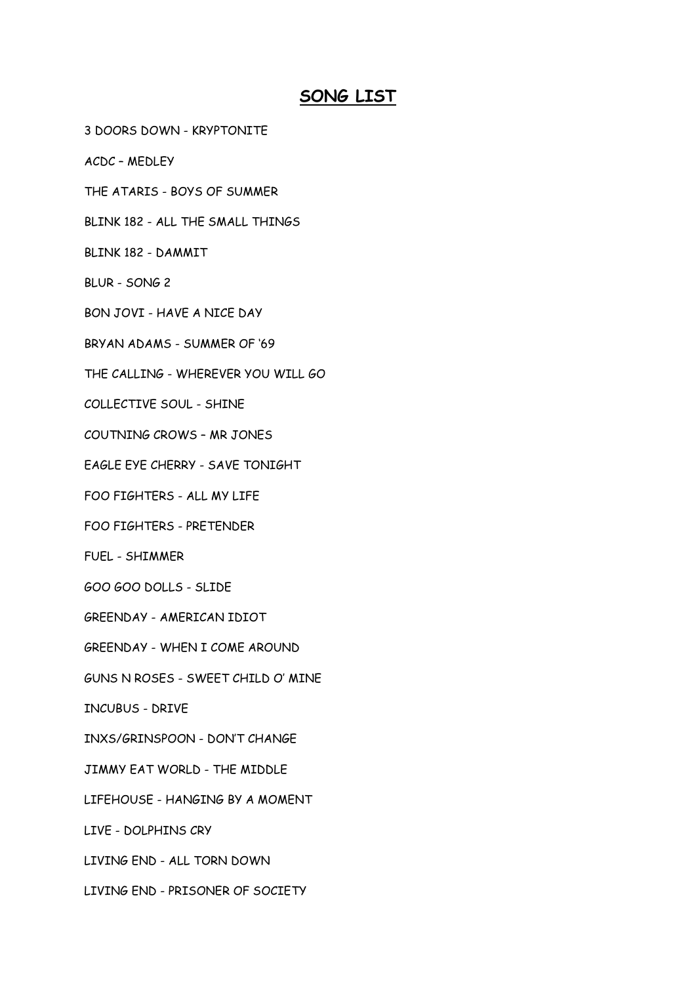## **SONG LIST**

- 3 DOORS DOWN KRYPTONITE
- ACDC MEDLEY
- THE ATARIS BOYS OF SUMMER
- BLINK 182 ALL THE SMALL THINGS
- BLINK 182 DAMMIT
- BLUR SONG 2
- BON JOVI HAVE A NICE DAY
- BRYAN ADAMS SUMMER OF '69
- THE CALLING WHEREVER YOU WILL GO
- COLLECTIVE SOUL SHINE
- COUTNING CROWS MR JONES
- EAGLE EYE CHERRY SAVE TONIGHT
- FOO FIGHTERS ALL MY LIFE
- FOO FIGHTERS PRETENDER
- FUEL SHIMMER
- GOO GOO DOLLS SLIDE
- GREENDAY AMERICAN IDIOT
- GREENDAY WHEN I COME AROUND
- GUNS N ROSES SWEET CHILD O' MINE
- INCUBUS DRIVE
- INXS/GRINSPOON DON'T CHANGE
- JIMMY EAT WORLD THE MIDDLE
- LIFEHOUSE HANGING BY A MOMENT
- LIVE DOLPHINS CRY
- LIVING END ALL TORN DOWN
- LIVING END PRISONER OF SOCIETY